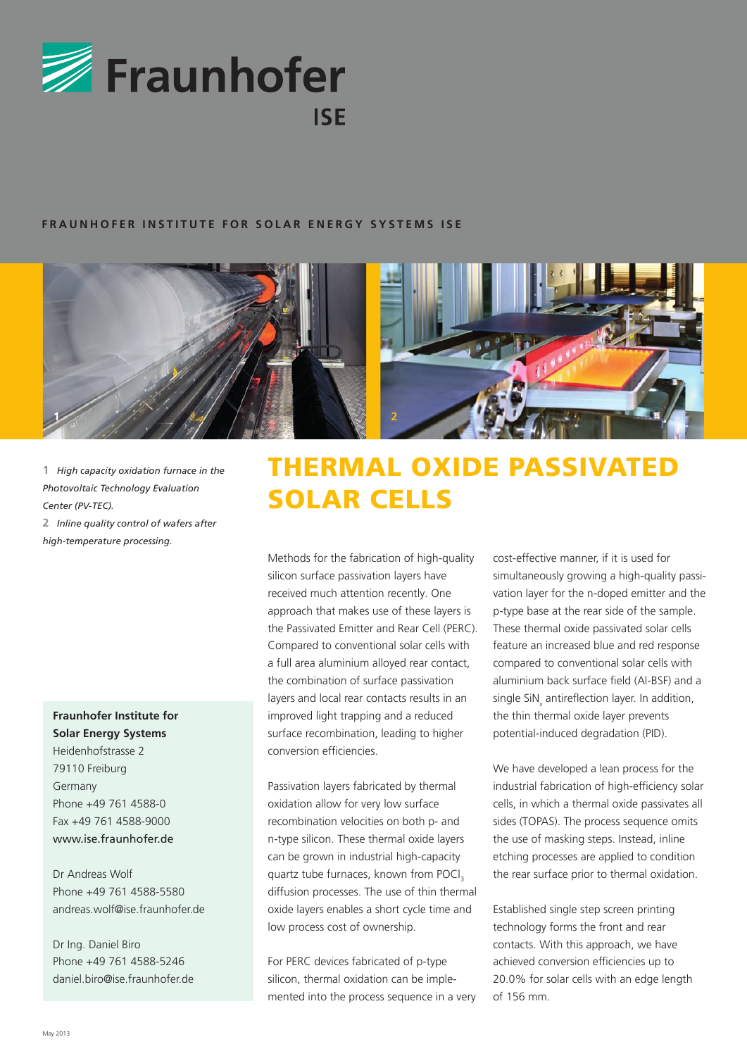

## **FRAUNHOFER INSTITUTE FOR SOLAR ENERGY SYSTEMS ISE**



**1** *High capacity oxidation furnace in the Photovoltaic Technology Evaluation Center (PV-TEC).* **2** *Inline quality control of wafers after high-temperature processing.* 

## **Fraunhofer Institute for Solar Energy Systems**

Heidenhofstrasse 2 79110 Freiburg Germany Phone +49 761 4588-0 Fax +49 761 4588-9000 www.ise.fraunhofer.de

Dr Andreas Wolf Phone +49 761 4588-5580 andreas.wolf@ise.fraunhofer.de

Dr Ing. Daniel Biro Phone +49 761 4588-5246 daniel.biro@ise.fraunhofer.de

## Thermal Oxide Passivated Solar Cells

Methods for the fabrication of high-quality silicon surface passivation layers have received much attention recently. One approach that makes use of these layers is the Passivated Emitter and Rear Cell (PERC). Compared to conventional solar cells with a full area aluminium alloyed rear contact, the combination of surface passivation layers and local rear contacts results in an improved light trapping and a reduced surface recombination, leading to higher conversion efficiencies.

Passivation layers fabricated by thermal oxidation allow for very low surface recombination velocities on both p- and n-type silicon. These thermal oxide layers can be grown in industrial high-capacity quartz tube furnaces, known from POCl<sub>3</sub> diffusion processes. The use of thin thermal oxide layers enables a short cycle time and low process cost of ownership.

For PERC devices fabricated of p-type silicon, thermal oxidation can be implemented into the process sequence in a very cost-effective manner, if it is used for simultaneously growing a high-quality passivation layer for the n-doped emitter and the p-type base at the rear side of the sample. These thermal oxide passivated solar cells feature an increased blue and red response compared to conventional solar cells with aluminium back surface field (Al-BSF) and a single SiN<sub>x</sub> antireflection layer. In addition, the thin thermal oxide layer prevents potential-induced degradation (PID).

We have developed a lean process for the industrial fabrication of high-efficiency solar cells, in which a thermal oxide passivates all sides (TOPAS). The process sequence omits the use of masking steps. Instead, inline etching processes are applied to condition the rear surface prior to thermal oxidation.

Established single step screen printing technology forms the front and rear contacts. With this approach, we have achieved conversion efficiencies up to 20.0% for solar cells with an edge length of 156 mm.